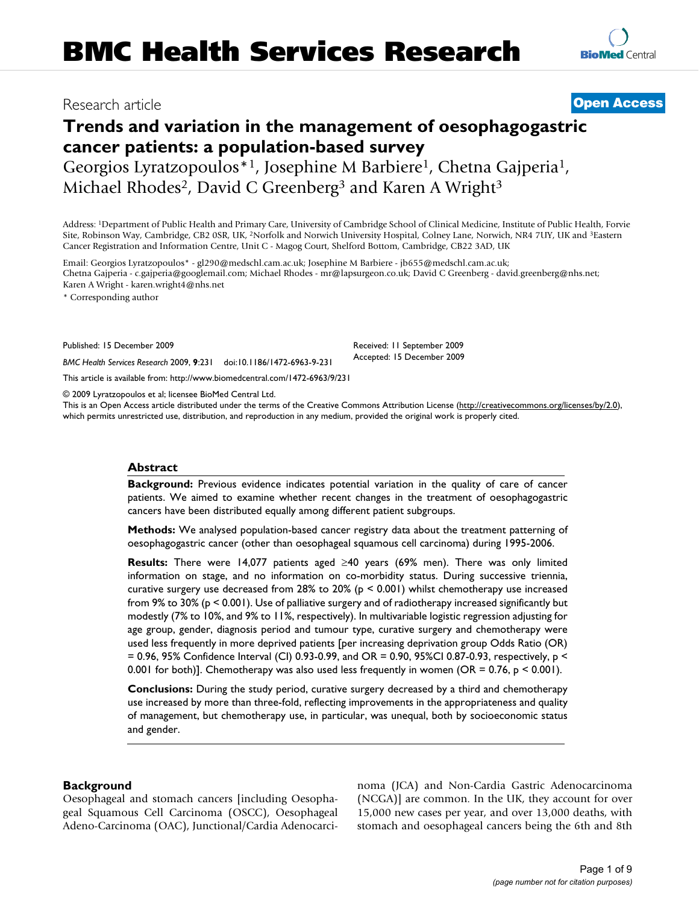# **Trends and variation in the management of oesophagogastric cancer patients: a population-based survey**

Georgios Lyratzopoulos<sup>\*1</sup>, Josephine M Barbiere<sup>1</sup>, Chetna Gajperia<sup>1</sup>, Michael Rhodes<sup>2</sup>, David C Greenberg<sup>3</sup> and Karen A Wright<sup>3</sup>

Address: 1Department of Public Health and Primary Care, University of Cambridge School of Clinical Medicine, Institute of Public Health, Forvie Site, Robinson Way, Cambridge, CB2 0SR, UK, 2Norfolk and Norwich University Hospital, Colney Lane, Norwich, NR4 7UY, UK and 3Eastern Cancer Registration and Information Centre, Unit C - Magog Court, Shelford Bottom, Cambridge, CB22 3AD, UK

Email: Georgios Lyratzopoulos\* - gl290@medschl.cam.ac.uk; Josephine M Barbiere - jb655@medschl.cam.ac.uk; Chetna Gajperia - c.gajperia@googlemail.com; Michael Rhodes - mr@lapsurgeon.co.uk; David C Greenberg - david.greenberg@nhs.net; Karen A Wright - karen.wright4@nhs.net

\* Corresponding author

Published: 15 December 2009

*BMC Health Services Research* 2009, **9**:231 doi:10.1186/1472-6963-9-231

[This article is available from: http://www.biomedcentral.com/1472-6963/9/231](http://www.biomedcentral.com/1472-6963/9/231)

© 2009 Lyratzopoulos et al; licensee BioMed Central Ltd.

This is an Open Access article distributed under the terms of the Creative Commons Attribution License [\(http://creativecommons.org/licenses/by/2.0\)](http://creativecommons.org/licenses/by/2.0), which permits unrestricted use, distribution, and reproduction in any medium, provided the original work is properly cited.

Received: 11 September 2009 Accepted: 15 December 2009

### **Abstract**

**Background:** Previous evidence indicates potential variation in the quality of care of cancer patients. We aimed to examine whether recent changes in the treatment of oesophagogastric cancers have been distributed equally among different patient subgroups.

**Methods:** We analysed population-based cancer registry data about the treatment patterning of oesophagogastric cancer (other than oesophageal squamous cell carcinoma) during 1995-2006.

**Results:** There were 14,077 patients aged ≥40 years (69% men). There was only limited information on stage, and no information on co-morbidity status. During successive triennia, curative surgery use decreased from 28% to 20% (p < 0.001) whilst chemotherapy use increased from 9% to 30% (p < 0.001). Use of palliative surgery and of radiotherapy increased significantly but modestly (7% to 10%, and 9% to 11%, respectively). In multivariable logistic regression adjusting for age group, gender, diagnosis period and tumour type, curative surgery and chemotherapy were used less frequently in more deprived patients [per increasing deprivation group Odds Ratio (OR)  $= 0.96$ , 95% Confidence Interval (CI) 0.93-0.99, and OR = 0.90, 95%CI 0.87-0.93, respectively, p < 0.001 for both)]. Chemotherapy was also used less frequently in women (OR =  $0.76$ , p <  $0.001$ ).

**Conclusions:** During the study period, curative surgery decreased by a third and chemotherapy use increased by more than three-fold, reflecting improvements in the appropriateness and quality of management, but chemotherapy use, in particular, was unequal, both by socioeconomic status and gender.

### **Background**

Oesophageal and stomach cancers [including Oesophageal Squamous Cell Carcinoma (OSCC), Oesophageal Adeno-Carcinoma (OAC), Junctional/Cardia Adenocarcinoma (JCA) and Non-Cardia Gastric Adenocarcinoma (NCGA)] are common. In the UK, they account for over 15,000 new cases per year, and over 13,000 deaths, with stomach and oesophageal cancers being the 6th and 8th

# Research article **[Open Access](http://www.biomedcentral.com/info/about/charter/)**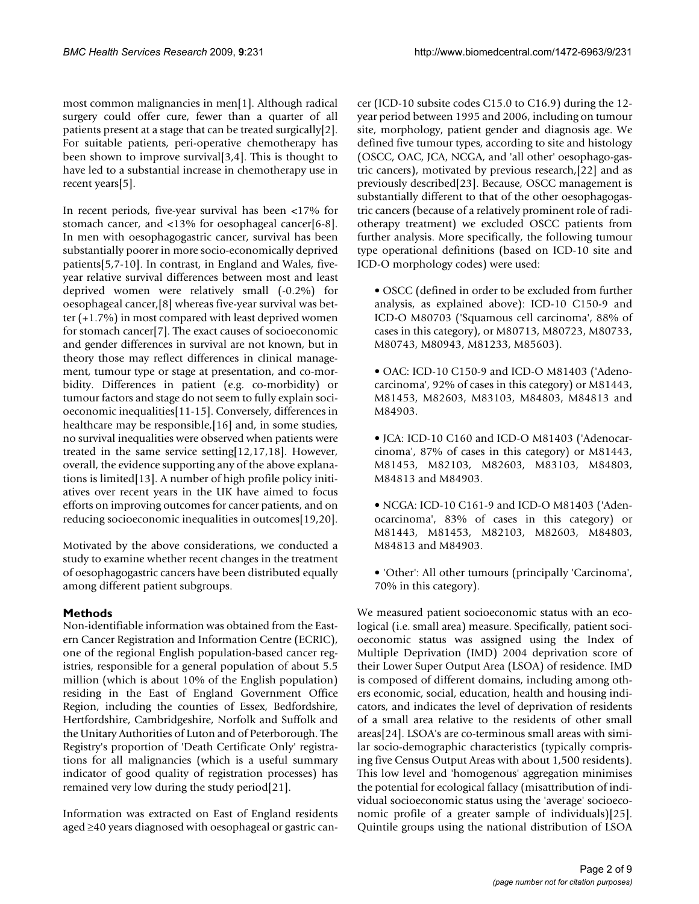most common malignancies in men[1]. Although radical surgery could offer cure, fewer than a quarter of all patients present at a stage that can be treated surgically[2]. For suitable patients, peri-operative chemotherapy has been shown to improve survival[3,4]. This is thought to have led to a substantial increase in chemotherapy use in recent years[5].

In recent periods, five-year survival has been <17% for stomach cancer, and <13% for oesophageal cancer[6-8]. In men with oesophagogastric cancer, survival has been substantially poorer in more socio-economically deprived patients[5,7-10]. In contrast, in England and Wales, fiveyear relative survival differences between most and least deprived women were relatively small (-0.2%) for oesophageal cancer,[8] whereas five-year survival was better (+1.7%) in most compared with least deprived women for stomach cancer[7]. The exact causes of socioeconomic and gender differences in survival are not known, but in theory those may reflect differences in clinical management, tumour type or stage at presentation, and co-morbidity. Differences in patient (e.g. co-morbidity) or tumour factors and stage do not seem to fully explain socioeconomic inequalities[11-15]. Conversely, differences in healthcare may be responsible,[16] and, in some studies, no survival inequalities were observed when patients were treated in the same service setting[12,17,18]. However, overall, the evidence supporting any of the above explanations is limited[13]. A number of high profile policy initiatives over recent years in the UK have aimed to focus efforts on improving outcomes for cancer patients, and on reducing socioeconomic inequalities in outcomes[19,20].

Motivated by the above considerations, we conducted a study to examine whether recent changes in the treatment of oesophagogastric cancers have been distributed equally among different patient subgroups.

# **Methods**

Non-identifiable information was obtained from the Eastern Cancer Registration and Information Centre (ECRIC), one of the regional English population-based cancer registries, responsible for a general population of about 5.5 million (which is about 10% of the English population) residing in the East of England Government Office Region, including the counties of Essex, Bedfordshire, Hertfordshire, Cambridgeshire, Norfolk and Suffolk and the Unitary Authorities of Luton and of Peterborough. The Registry's proportion of 'Death Certificate Only' registrations for all malignancies (which is a useful summary indicator of good quality of registration processes) has remained very low during the study period[21].

Information was extracted on East of England residents aged ≥40 years diagnosed with oesophageal or gastric cancer (ICD-10 subsite codes C15.0 to C16.9) during the 12 year period between 1995 and 2006, including on tumour site, morphology, patient gender and diagnosis age. We defined five tumour types, according to site and histology (OSCC, OAC, JCA, NCGA, and 'all other' oesophago-gastric cancers), motivated by previous research,[22] and as previously described[23]. Because, OSCC management is substantially different to that of the other oesophagogastric cancers (because of a relatively prominent role of radiotherapy treatment) we excluded OSCC patients from further analysis. More specifically, the following tumour type operational definitions (based on ICD-10 site and ICD-O morphology codes) were used:

• OSCC (defined in order to be excluded from further analysis, as explained above): ICD-10 C150-9 and ICD-O M80703 ('Squamous cell carcinoma', 88% of cases in this category), or M80713, M80723, M80733, M80743, M80943, M81233, M85603).

• OAC: ICD-10 C150-9 and ICD-O M81403 ('Adenocarcinoma', 92% of cases in this category) or M81443, M81453, M82603, M83103, M84803, M84813 and M84903.

• JCA: ICD-10 C160 and ICD-O M81403 ('Adenocarcinoma', 87% of cases in this category) or M81443, M81453, M82103, M82603, M83103, M84803, M84813 and M84903.

• NCGA: ICD-10 C161-9 and ICD-O M81403 ('Adenocarcinoma', 83% of cases in this category) or M81443, M81453, M82103, M82603, M84803, M84813 and M84903.

• 'Other': All other tumours (principally 'Carcinoma', 70% in this category).

We measured patient socioeconomic status with an ecological (i.e. small area) measure. Specifically, patient socioeconomic status was assigned using the Index of Multiple Deprivation (IMD) 2004 deprivation score of their Lower Super Output Area (LSOA) of residence. IMD is composed of different domains, including among others economic, social, education, health and housing indicators, and indicates the level of deprivation of residents of a small area relative to the residents of other small areas[24]. LSOA's are co-terminous small areas with similar socio-demographic characteristics (typically comprising five Census Output Areas with about 1,500 residents). This low level and 'homogenous' aggregation minimises the potential for ecological fallacy (misattribution of individual socioeconomic status using the 'average' socioeconomic profile of a greater sample of individuals)[25]. Quintile groups using the national distribution of LSOA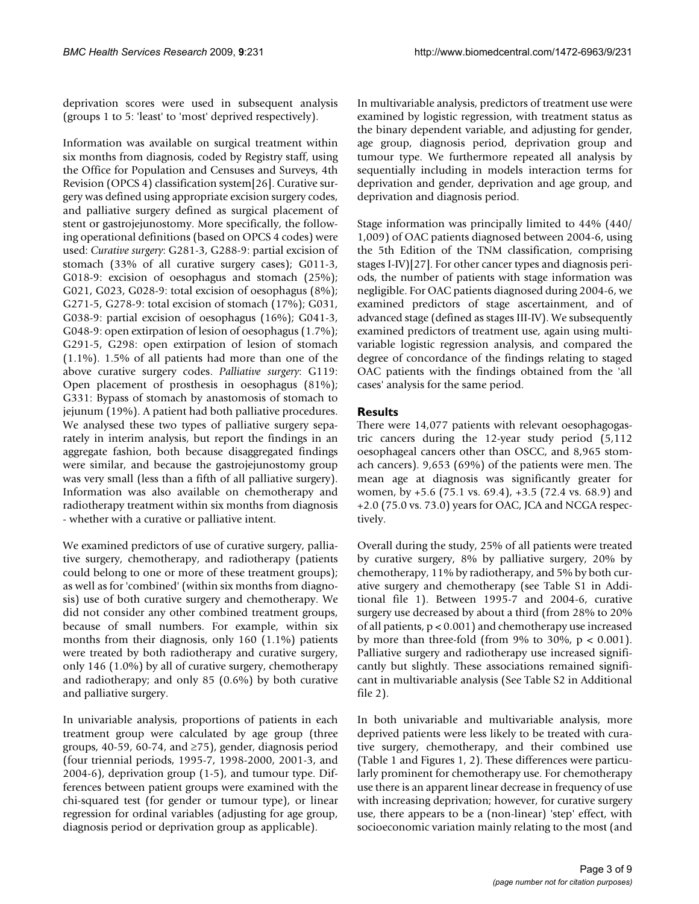deprivation scores were used in subsequent analysis (groups 1 to 5: 'least' to 'most' deprived respectively).

Information was available on surgical treatment within six months from diagnosis, coded by Registry staff, using the Office for Population and Censuses and Surveys, 4th Revision (OPCS 4) classification system[26]. Curative surgery was defined using appropriate excision surgery codes, and palliative surgery defined as surgical placement of stent or gastrojejunostomy. More specifically, the following operational definitions (based on OPCS 4 codes) were used: *Curative surgery*: G281-3, G288-9: partial excision of stomach (33% of all curative surgery cases); G011-3, G018-9: excision of oesophagus and stomach (25%); G021, G023, G028-9: total excision of oesophagus (8%); G271-5, G278-9: total excision of stomach (17%); G031, G038-9: partial excision of oesophagus (16%); G041-3, G048-9: open extirpation of lesion of oesophagus (1.7%); G291-5, G298: open extirpation of lesion of stomach (1.1%). 1.5% of all patients had more than one of the above curative surgery codes. *Palliative surgery*: G119: Open placement of prosthesis in oesophagus (81%); G331: Bypass of stomach by anastomosis of stomach to jejunum (19%). A patient had both palliative procedures. We analysed these two types of palliative surgery separately in interim analysis, but report the findings in an aggregate fashion, both because disaggregated findings were similar, and because the gastrojejunostomy group was very small (less than a fifth of all palliative surgery). Information was also available on chemotherapy and radiotherapy treatment within six months from diagnosis - whether with a curative or palliative intent.

We examined predictors of use of curative surgery, palliative surgery, chemotherapy, and radiotherapy (patients could belong to one or more of these treatment groups); as well as for 'combined' (within six months from diagnosis) use of both curative surgery and chemotherapy. We did not consider any other combined treatment groups, because of small numbers. For example, within six months from their diagnosis, only 160 (1.1%) patients were treated by both radiotherapy and curative surgery, only 146 (1.0%) by all of curative surgery, chemotherapy and radiotherapy; and only 85 (0.6%) by both curative and palliative surgery.

In univariable analysis, proportions of patients in each treatment group were calculated by age group (three groups, 40-59, 60-74, and  $\geq$ 75), gender, diagnosis period (four triennial periods, 1995-7, 1998-2000, 2001-3, and 2004-6), deprivation group (1-5), and tumour type. Differences between patient groups were examined with the chi-squared test (for gender or tumour type), or linear regression for ordinal variables (adjusting for age group, diagnosis period or deprivation group as applicable).

In multivariable analysis, predictors of treatment use were examined by logistic regression, with treatment status as the binary dependent variable, and adjusting for gender, age group, diagnosis period, deprivation group and tumour type. We furthermore repeated all analysis by sequentially including in models interaction terms for deprivation and gender, deprivation and age group, and deprivation and diagnosis period.

Stage information was principally limited to 44% (440/ 1,009) of OAC patients diagnosed between 2004-6, using the 5th Edition of the TNM classification, comprising stages I-IV)[27]. For other cancer types and diagnosis periods, the number of patients with stage information was negligible. For OAC patients diagnosed during 2004-6, we examined predictors of stage ascertainment, and of advanced stage (defined as stages III-IV). We subsequently examined predictors of treatment use, again using multivariable logistic regression analysis, and compared the degree of concordance of the findings relating to staged OAC patients with the findings obtained from the 'all cases' analysis for the same period.

# **Results**

There were 14,077 patients with relevant oesophagogastric cancers during the 12-year study period (5,112 oesophageal cancers other than OSCC, and 8,965 stomach cancers). 9,653 (69%) of the patients were men. The mean age at diagnosis was significantly greater for women, by +5.6 (75.1 vs. 69.4), +3.5 (72.4 vs. 68.9) and +2.0 (75.0 vs. 73.0) years for OAC, JCA and NCGA respectively.

Overall during the study, 25% of all patients were treated by curative surgery, 8% by palliative surgery, 20% by chemotherapy, 11% by radiotherapy, and 5% by both curative surgery and chemotherapy (see Table S1 in Additional file 1). Between 1995-7 and 2004-6, curative surgery use decreased by about a third (from 28% to 20% of all patients, p < 0.001) and chemotherapy use increased by more than three-fold (from  $9\%$  to  $30\%$ ,  $p < 0.001$ ). Palliative surgery and radiotherapy use increased significantly but slightly. These associations remained significant in multivariable analysis (See Table S2 in Additional file 2).

In both univariable and multivariable analysis, more deprived patients were less likely to be treated with curative surgery, chemotherapy, and their combined use (Table 1 and Figures 1, 2). These differences were particularly prominent for chemotherapy use. For chemotherapy use there is an apparent linear decrease in frequency of use with increasing deprivation; however, for curative surgery use, there appears to be a (non-linear) 'step' effect, with socioeconomic variation mainly relating to the most (and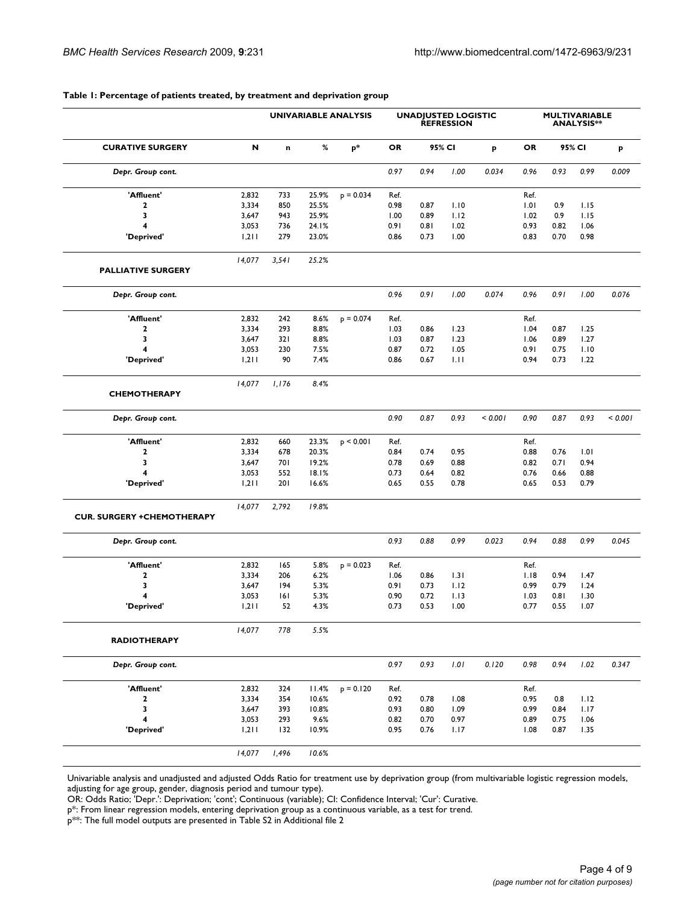| Table 1: Percentage of patients treated, by treatment and deprivation group |  |  |
|-----------------------------------------------------------------------------|--|--|
|-----------------------------------------------------------------------------|--|--|

| <b>CURATIVE SURGERY</b>           |                | <b>UNIVARIABLE ANALYSIS</b> |              | <b>UNADJUSTED LOGISTIC</b><br><b>REFRESSION</b> |              |              |              | <b>MULTIVARIABLE</b><br><b>ANALYSIS**</b> |              |              |              |         |
|-----------------------------------|----------------|-----------------------------|--------------|-------------------------------------------------|--------------|--------------|--------------|-------------------------------------------|--------------|--------------|--------------|---------|
|                                   | N              | $\mathsf n$                 | %            | $\mathsf{p}^*$                                  | OR           | 95% CI       |              | p                                         | OR           | 95% CI       |              | p       |
| Depr. Group cont.                 |                |                             |              |                                                 | 0.97         | 0.94         | 1.00         | 0.034                                     | 0.96         | 0.93         | 0.99         | 0.009   |
| 'Affluent'                        | 2,832          | 733                         | 25.9%        | $p = 0.034$                                     | Ref.         |              |              |                                           | Ref.         |              |              |         |
| 2                                 | 3,334          | 850                         | 25.5%        |                                                 | 0.98         | 0.87         | 1.10         |                                           | 1.01         | 0.9          | 1.15         |         |
| 3                                 | 3,647          | 943                         | 25.9%        |                                                 | 1.00         | 0.89         | 1.12         |                                           | 1.02         | 0.9          | 1.15         |         |
| 4                                 | 3,053          | 736                         | 24.1%        |                                                 | 0.91         | 0.81         | 1.02         |                                           | 0.93         | 0.82         | 1.06         |         |
| 'Deprived'                        | 1,211          | 279                         | 23.0%        |                                                 | 0.86         | 0.73         | 1.00         |                                           | 0.83         | 0.70         | 0.98         |         |
| <b>PALLIATIVE SURGERY</b>         | 14,077         | 3,541                       | 25.2%        |                                                 |              |              |              |                                           |              |              |              |         |
| Depr. Group cont.                 |                |                             |              |                                                 | 0.96         | 0.91         | 1.00         | 0.074                                     | 0.96         | 0.91         | 1.00         | 0.076   |
| 'Affluent'                        | 2,832          | 242                         | 8.6%         | $p = 0.074$                                     | Ref.         |              |              |                                           | Ref.         |              |              |         |
| 2                                 | 3,334          | 293                         | 8.8%         |                                                 | 1.03         | 0.86         | 1.23         |                                           | 1.04         | 0.87         | 1.25         |         |
| 3                                 | 3,647          | 321                         | 8.8%         |                                                 | 1.03         | 0.87         | 1.23         |                                           | 1.06         | 0.89         | 1.27         |         |
| 4                                 | 3,053          | 230                         | 7.5%         |                                                 | 0.87         | 0.72         | 1.05         |                                           | 0.91         | 0.75         | 1.10         |         |
| 'Deprived'                        | 1,211          | 90                          | 7.4%         |                                                 | 0.86         | 0.67         | 1.11         |                                           | 0.94         | 0.73         | 1.22         |         |
| <b>CHEMOTHERAPY</b>               | 14,077         | 1,176                       | 8.4%         |                                                 |              |              |              |                                           |              |              |              |         |
| Depr. Group cont.                 |                |                             |              |                                                 | 0.90         | 0.87         | 0.93         | < 0.001                                   | 0.90         | 0.87         | 0.93         | < 0.001 |
| 'Affluent'                        | 2,832          | 660                         | 23.3%        | p < 0.001                                       | Ref.         |              |              |                                           | Ref.         |              |              |         |
| 2                                 | 3,334          | 678                         | 20.3%        |                                                 | 0.84         | 0.74         | 0.95         |                                           | 0.88         | 0.76         | 1.01         |         |
| 3                                 | 3,647          | 701                         | 19.2%        |                                                 | 0.78         | 0.69         | 0.88         |                                           | 0.82         | 0.71         | 0.94         |         |
| 4                                 | 3,053          | 552                         | 18.1%        |                                                 | 0.73         | 0.64         | 0.82         |                                           | 0.76         | 0.66         | 0.88         |         |
| 'Deprived'                        | 1,211          | 201                         | 16.6%        |                                                 | 0.65         | 0.55         | 0.78         |                                           | 0.65         | 0.53         | 0.79         |         |
| <b>CUR. SURGERY +CHEMOTHERAPY</b> | 14,077         | 2,792                       | 19.8%        |                                                 |              |              |              |                                           |              |              |              |         |
| Depr. Group cont.                 |                |                             |              |                                                 | 0.93         | 0.88         | 0.99         | 0.023                                     | 0.94         | 0.88         | 0.99         | 0.045   |
| 'Affluent'                        | 2,832          | 165                         | 5.8%         | $p = 0.023$                                     | Ref.         |              |              |                                           | Ref.         |              |              |         |
| 2                                 | 3,334          | 206                         | 6.2%         |                                                 | 1.06         | 0.86         | 1.31         |                                           | 1.18         | 0.94         | 1.47         |         |
| 3                                 | 3,647          | 194                         | 5.3%         |                                                 | 0.91         | 0.73         | 1.12         |                                           | 0.99         | 0.79         | 1.24         |         |
| 4<br>'Deprived'                   | 3,053<br>1,211 | 161<br>52                   | 5.3%<br>4.3% |                                                 | 0.90<br>0.73 | 0.72<br>0.53 | 1.13<br>1.00 |                                           | 1.03<br>0.77 | 0.81<br>0.55 | 1.30<br>1.07 |         |
|                                   |                |                             |              |                                                 |              |              |              |                                           |              |              |              |         |
| <b>RADIOTHERAPY</b>               | 14,077         | 778                         | 5.5%         |                                                 |              |              |              |                                           |              |              |              |         |
| Depr. Group cont.                 |                |                             |              |                                                 | 0.97         | 0.93         | 1.01         | 0.120                                     | 0.98         | 0.94         | 1.02         | 0.347   |
| 'Affluent'                        | 2,832          | 324                         | 11.4%        | $p = 0.120$                                     | Ref.         |              |              |                                           | Ref.         |              |              |         |
| $\mathbf{2}$                      | 3,334          | 354                         | 10.6%        |                                                 | 0.92         | 0.78         | 1.08         |                                           | 0.95         | 0.8          | 1.12         |         |
| 3                                 | 3,647          | 393                         | 10.8%        |                                                 | 0.93         | 0.80         | 1.09         |                                           | 0.99         | 0.84         | 1.17         |         |
| $\overline{\mathbf{4}}$           | 3,053          | 293                         | 9.6%         |                                                 | 0.82         | 0.70         | 0.97         |                                           | 0.89         | 0.75         | 1.06         |         |
| 'Deprived'                        | 1,211          | 132                         | 10.9%        |                                                 | 0.95         | 0.76         | 1.17         |                                           | 1.08         | 0.87         | 1.35         |         |
|                                   | 14,077         | 1,496                       | 10.6%        |                                                 |              |              |              |                                           |              |              |              |         |

Univariable analysis and unadjusted and adjusted Odds Ratio for treatment use by deprivation group (from multivariable logistic regression models, adjusting for age group, gender, diagnosis period and tumour type).

OR: Odds Ratio; 'Depr.': Deprivation; 'cont'; Continuous (variable); CI: Confidence Interval; 'Cur': Curative.

 $\mathsf{p}^*$ : From linear regression models, entering deprivation group as a continuous variable, as a test for trend.

p\*\*: The full model outputs are presented in Table S2 in Additional file 2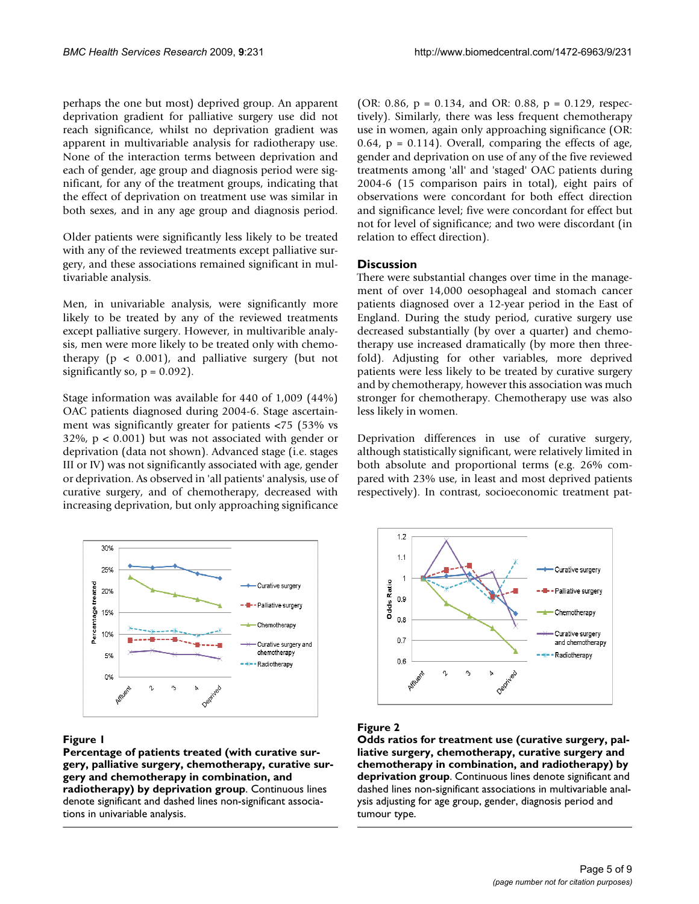perhaps the one but most) deprived group. An apparent deprivation gradient for palliative surgery use did not reach significance, whilst no deprivation gradient was apparent in multivariable analysis for radiotherapy use. None of the interaction terms between deprivation and each of gender, age group and diagnosis period were significant, for any of the treatment groups, indicating that the effect of deprivation on treatment use was similar in both sexes, and in any age group and diagnosis period.

Older patients were significantly less likely to be treated with any of the reviewed treatments except palliative surgery, and these associations remained significant in multivariable analysis.

Men, in univariable analysis, were significantly more likely to be treated by any of the reviewed treatments except palliative surgery. However, in multivarible analysis, men were more likely to be treated only with chemotherapy ( $p < 0.001$ ), and palliative surgery (but not significantly so,  $p = 0.092$ ).

Stage information was available for 440 of 1,009 (44%) OAC patients diagnosed during 2004-6. Stage ascertainment was significantly greater for patients <75 (53% vs 32%, p < 0.001) but was not associated with gender or deprivation (data not shown). Advanced stage (i.e. stages III or IV) was not significantly associated with age, gender or deprivation. As observed in 'all patients' analysis, use of curative surgery, and of chemotherapy, decreased with increasing deprivation, but only approaching significance



#### **Figure 1**

**Percentage of patients treated (with curative surgery, palliative surgery, chemotherapy, curative surgery and chemotherapy in combination, and radiotherapy) by deprivation group**. Continuous lines denote significant and dashed lines non-significant associations in univariable analysis.

(OR: 0.86, p = 0.134, and OR: 0.88, p = 0.129, respectively). Similarly, there was less frequent chemotherapy use in women, again only approaching significance (OR: 0.64,  $p = 0.114$ ). Overall, comparing the effects of age, gender and deprivation on use of any of the five reviewed treatments among 'all' and 'staged' OAC patients during 2004-6 (15 comparison pairs in total), eight pairs of observations were concordant for both effect direction and significance level; five were concordant for effect but not for level of significance; and two were discordant (in relation to effect direction).

#### **Discussion**

There were substantial changes over time in the management of over 14,000 oesophageal and stomach cancer patients diagnosed over a 12-year period in the East of England. During the study period, curative surgery use decreased substantially (by over a quarter) and chemotherapy use increased dramatically (by more then threefold). Adjusting for other variables, more deprived patients were less likely to be treated by curative surgery and by chemotherapy, however this association was much stronger for chemotherapy. Chemotherapy use was also less likely in women.

Deprivation differences in use of curative surgery, although statistically significant, were relatively limited in both absolute and proportional terms (e.g. 26% compared with 23% use, in least and most deprived patients respectively). In contrast, socioeconomic treatment pat-



#### Figure 2

**Odds ratios for treatment use (curative surgery, palliative surgery, chemotherapy, curative surgery and chemotherapy in combination, and radiotherapy) by deprivation group**. Continuous lines denote significant and dashed lines non-significant associations in multivariable analysis adjusting for age group, gender, diagnosis period and tumour type.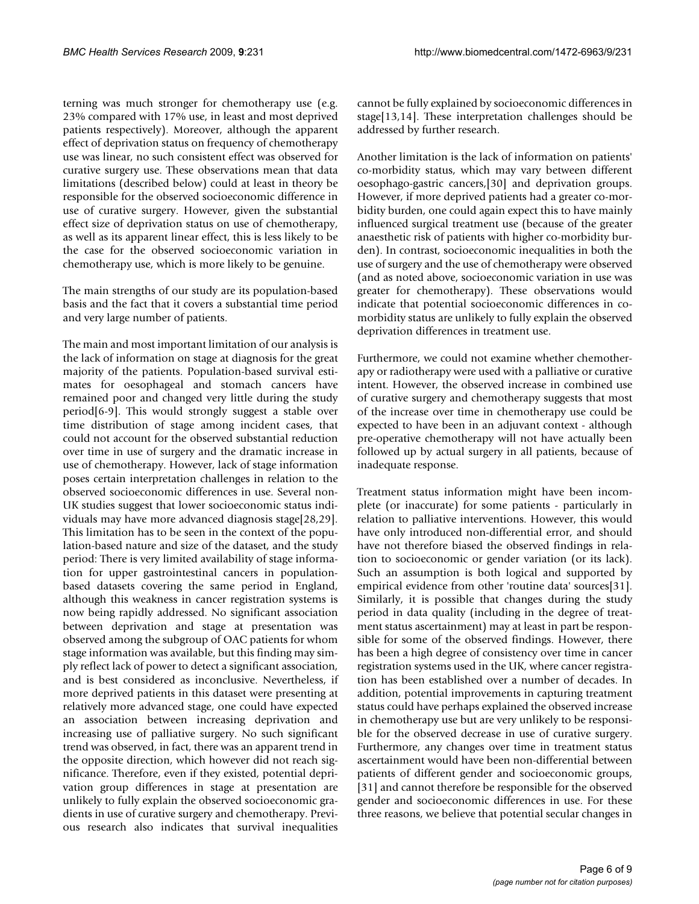terning was much stronger for chemotherapy use (e.g. 23% compared with 17% use, in least and most deprived patients respectively). Moreover, although the apparent effect of deprivation status on frequency of chemotherapy use was linear, no such consistent effect was observed for curative surgery use. These observations mean that data limitations (described below) could at least in theory be responsible for the observed socioeconomic difference in use of curative surgery. However, given the substantial effect size of deprivation status on use of chemotherapy, as well as its apparent linear effect, this is less likely to be the case for the observed socioeconomic variation in chemotherapy use, which is more likely to be genuine.

The main strengths of our study are its population-based basis and the fact that it covers a substantial time period and very large number of patients.

The main and most important limitation of our analysis is the lack of information on stage at diagnosis for the great majority of the patients. Population-based survival estimates for oesophageal and stomach cancers have remained poor and changed very little during the study period[6-9]. This would strongly suggest a stable over time distribution of stage among incident cases, that could not account for the observed substantial reduction over time in use of surgery and the dramatic increase in use of chemotherapy. However, lack of stage information poses certain interpretation challenges in relation to the observed socioeconomic differences in use. Several non-UK studies suggest that lower socioeconomic status individuals may have more advanced diagnosis stage[28,29]. This limitation has to be seen in the context of the population-based nature and size of the dataset, and the study period: There is very limited availability of stage information for upper gastrointestinal cancers in populationbased datasets covering the same period in England, although this weakness in cancer registration systems is now being rapidly addressed. No significant association between deprivation and stage at presentation was observed among the subgroup of OAC patients for whom stage information was available, but this finding may simply reflect lack of power to detect a significant association, and is best considered as inconclusive. Nevertheless, if more deprived patients in this dataset were presenting at relatively more advanced stage, one could have expected an association between increasing deprivation and increasing use of palliative surgery. No such significant trend was observed, in fact, there was an apparent trend in the opposite direction, which however did not reach significance. Therefore, even if they existed, potential deprivation group differences in stage at presentation are unlikely to fully explain the observed socioeconomic gradients in use of curative surgery and chemotherapy. Previous research also indicates that survival inequalities cannot be fully explained by socioeconomic differences in stage[13,14]. These interpretation challenges should be addressed by further research.

Another limitation is the lack of information on patients' co-morbidity status, which may vary between different oesophago-gastric cancers,[30] and deprivation groups. However, if more deprived patients had a greater co-morbidity burden, one could again expect this to have mainly influenced surgical treatment use (because of the greater anaesthetic risk of patients with higher co-morbidity burden). In contrast, socioeconomic inequalities in both the use of surgery and the use of chemotherapy were observed (and as noted above, socioeconomic variation in use was greater for chemotherapy). These observations would indicate that potential socioeconomic differences in comorbidity status are unlikely to fully explain the observed deprivation differences in treatment use.

Furthermore, we could not examine whether chemotherapy or radiotherapy were used with a palliative or curative intent. However, the observed increase in combined use of curative surgery and chemotherapy suggests that most of the increase over time in chemotherapy use could be expected to have been in an adjuvant context - although pre-operative chemotherapy will not have actually been followed up by actual surgery in all patients, because of inadequate response.

Treatment status information might have been incomplete (or inaccurate) for some patients - particularly in relation to palliative interventions. However, this would have only introduced non-differential error, and should have not therefore biased the observed findings in relation to socioeconomic or gender variation (or its lack). Such an assumption is both logical and supported by empirical evidence from other 'routine data' sources[31]. Similarly, it is possible that changes during the study period in data quality (including in the degree of treatment status ascertainment) may at least in part be responsible for some of the observed findings. However, there has been a high degree of consistency over time in cancer registration systems used in the UK, where cancer registration has been established over a number of decades. In addition, potential improvements in capturing treatment status could have perhaps explained the observed increase in chemotherapy use but are very unlikely to be responsible for the observed decrease in use of curative surgery. Furthermore, any changes over time in treatment status ascertainment would have been non-differential between patients of different gender and socioeconomic groups, [31] and cannot therefore be responsible for the observed gender and socioeconomic differences in use. For these three reasons, we believe that potential secular changes in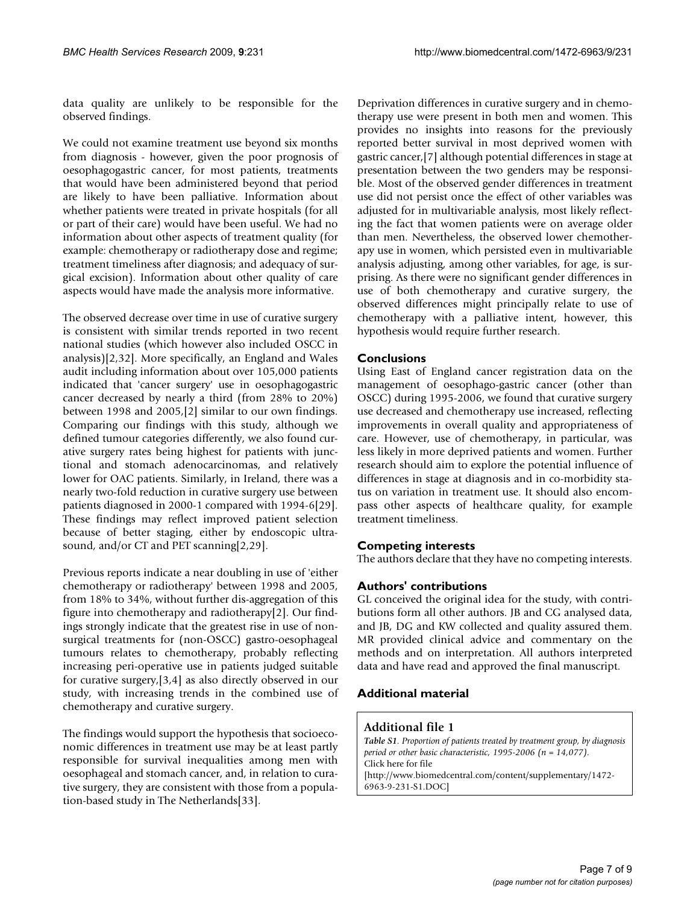data quality are unlikely to be responsible for the observed findings.

We could not examine treatment use beyond six months from diagnosis - however, given the poor prognosis of oesophagogastric cancer, for most patients, treatments that would have been administered beyond that period are likely to have been palliative. Information about whether patients were treated in private hospitals (for all or part of their care) would have been useful. We had no information about other aspects of treatment quality (for example: chemotherapy or radiotherapy dose and regime; treatment timeliness after diagnosis; and adequacy of surgical excision). Information about other quality of care aspects would have made the analysis more informative.

The observed decrease over time in use of curative surgery is consistent with similar trends reported in two recent national studies (which however also included OSCC in analysis)[2,32]. More specifically, an England and Wales audit including information about over 105,000 patients indicated that 'cancer surgery' use in oesophagogastric cancer decreased by nearly a third (from 28% to 20%) between 1998 and 2005,[2] similar to our own findings. Comparing our findings with this study, although we defined tumour categories differently, we also found curative surgery rates being highest for patients with junctional and stomach adenocarcinomas, and relatively lower for OAC patients. Similarly, in Ireland, there was a nearly two-fold reduction in curative surgery use between patients diagnosed in 2000-1 compared with 1994-6[29]. These findings may reflect improved patient selection because of better staging, either by endoscopic ultrasound, and/or CT and PET scanning[2,29].

Previous reports indicate a near doubling in use of 'either chemotherapy or radiotherapy' between 1998 and 2005, from 18% to 34%, without further dis-aggregation of this figure into chemotherapy and radiotherapy[2]. Our findings strongly indicate that the greatest rise in use of nonsurgical treatments for (non-OSCC) gastro-oesophageal tumours relates to chemotherapy, probably reflecting increasing peri-operative use in patients judged suitable for curative surgery,[3,4] as also directly observed in our study, with increasing trends in the combined use of chemotherapy and curative surgery.

The findings would support the hypothesis that socioeconomic differences in treatment use may be at least partly responsible for survival inequalities among men with oesophageal and stomach cancer, and, in relation to curative surgery, they are consistent with those from a population-based study in The Netherlands[33].

Deprivation differences in curative surgery and in chemotherapy use were present in both men and women. This provides no insights into reasons for the previously reported better survival in most deprived women with gastric cancer,[7] although potential differences in stage at presentation between the two genders may be responsible. Most of the observed gender differences in treatment use did not persist once the effect of other variables was adjusted for in multivariable analysis, most likely reflecting the fact that women patients were on average older than men. Nevertheless, the observed lower chemotherapy use in women, which persisted even in multivariable analysis adjusting, among other variables, for age, is surprising. As there were no significant gender differences in use of both chemotherapy and curative surgery, the observed differences might principally relate to use of chemotherapy with a palliative intent, however, this hypothesis would require further research.

# **Conclusions**

Using East of England cancer registration data on the management of oesophago-gastric cancer (other than OSCC) during 1995-2006, we found that curative surgery use decreased and chemotherapy use increased, reflecting improvements in overall quality and appropriateness of care. However, use of chemotherapy, in particular, was less likely in more deprived patients and women. Further research should aim to explore the potential influence of differences in stage at diagnosis and in co-morbidity status on variation in treatment use. It should also encompass other aspects of healthcare quality, for example treatment timeliness.

# **Competing interests**

The authors declare that they have no competing interests.

# **Authors' contributions**

GL conceived the original idea for the study, with contributions form all other authors. JB and CG analysed data, and JB, DG and KW collected and quality assured them. MR provided clinical advice and commentary on the methods and on interpretation. All authors interpreted data and have read and approved the final manuscript.

# **Additional material**

# **Additional file 1**

*Table S1. Proportion of patients treated by treatment group, by diagnosis period or other basic characteristic, 1995-2006 (n = 14,077).* Click here for file [\[http://www.biomedcentral.com/content/supplementary/1472-](http://www.biomedcentral.com/content/supplementary/1472-6963-9-231-S1.DOC) 6963-9-231-S1.DOC]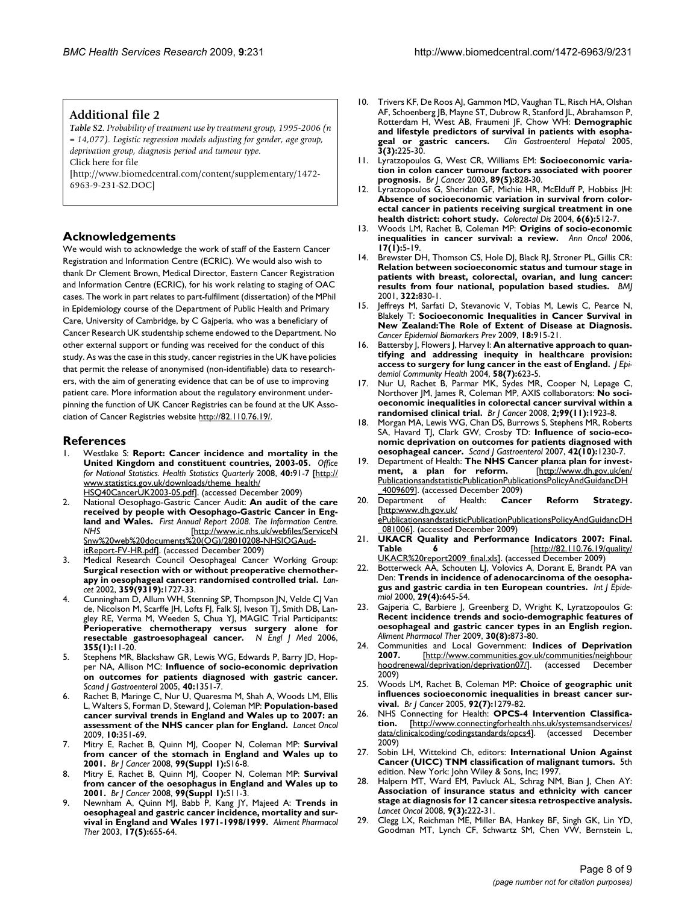## **Additional file 2**

*Table S2. Probability of treatment use by treatment group, 1995-2006 (n = 14,077). Logistic regression models adjusting for gender, age group, deprivation group, diagnosis period and tumour type.*

Click here for file

[\[http://www.biomedcentral.com/content/supplementary/1472-](http://www.biomedcentral.com/content/supplementary/1472-6963-9-231-S2.DOC) 6963-9-231-S2.DOC]

### **Acknowledgements**

We would wish to acknowledge the work of staff of the Eastern Cancer Registration and Information Centre (ECRIC). We would also wish to thank Dr Clement Brown, Medical Director, Eastern Cancer Registration and Information Centre (ECRIC), for his work relating to staging of OAC cases. The work in part relates to part-fulfilment (dissertation) of the MPhil in Epidemiology course of the Department of Public Health and Primary Care, University of Cambridge, by C Gajperia, who was a beneficiary of Cancer Research UK studentship scheme endowed to the Department. No other external support or funding was received for the conduct of this study. As was the case in this study, cancer registries in the UK have policies that permit the release of anonymised (non-identifiable) data to researchers, with the aim of generating evidence that can be of use to improving patient care. More information about the regulatory environment underpinning the function of UK Cancer Registries can be found at the UK Association of Cancer Registries website<http://82.110.76.19/>.

#### **References**

- 1. Westlake S: **Report: Cancer incidence and mortality in the United Kingdom and constituent countries, 2003-05.** *Office for National Statistics. Health Statistics Quarterly* 2008, **40:**91-7 [[http://](http://www.statistics.gov.uk/downloads/theme_health/HSQ40CancerUK2003-05.pdf) [www.statistics.gov.uk/downloads/theme\\_health/](http://www.statistics.gov.uk/downloads/theme_health/HSQ40CancerUK2003-05.pdf) [HSQ40CancerUK2003-05.pdf](http://www.statistics.gov.uk/downloads/theme_health/HSQ40CancerUK2003-05.pdf)]. (accessed December 2009)
- 2. National Oesophago-Gastric Cancer Audit: **An audit of the care received by people with Oesophago-Gastric Cancer in England and Wales.** *First Annual Report 2008. The Information Centre.* [[http://www.ic.nhs.uk/webfiles/ServiceN](http://www.ic.nhs.uk/webfiles/Services/NCASP/Cancer/New%20web%20documents%20(OG)/28010208-NHSIC-OGAuditReport-FV-HR.pdf) [Snw%20web%20documents%20\(OG\)/28010208-NHSIOGAud](http://www.ic.nhs.uk/webfiles/Services/NCASP/Cancer/New%20web%20documents%20(OG)/28010208-NHSIC-OGAuditReport-FV-HR.pdf)[itReport-FV-HR.pdf\]](http://www.ic.nhs.uk/webfiles/Services/NCASP/Cancer/New%20web%20documents%20(OG)/28010208-NHSIC-OGAuditReport-FV-HR.pdf). (accessed December 2009)
- 3. Medical Research Council Oesophageal Cancer Working Group: **[Surgical resection with or without preoperative chemother](http://www.ncbi.nlm.nih.gov/entrez/query.fcgi?cmd=Retrieve&db=PubMed&dopt=Abstract&list_uids=12049861)[apy in oesophageal cancer: randomised controlled trial.](http://www.ncbi.nlm.nih.gov/entrez/query.fcgi?cmd=Retrieve&db=PubMed&dopt=Abstract&list_uids=12049861)** *Lancet* 2002, **359(9319):**1727-33.
- 4. Cunningham D, Allum WH, Stenning SP, Thompson JN, Velde CJ Van de, Nicolson M, Scarffe JH, Lofts FJ, Falk SJ, Iveson TJ, Smith DB, Langley RE, Verma M, Weeden S, Chua YJ, MAGIC Trial Participants: **[Perioperative chemotherapy versus surgery alone for](http://www.ncbi.nlm.nih.gov/entrez/query.fcgi?cmd=Retrieve&db=PubMed&dopt=Abstract&list_uids=16822992) [resectable gastroesophageal cancer.](http://www.ncbi.nlm.nih.gov/entrez/query.fcgi?cmd=Retrieve&db=PubMed&dopt=Abstract&list_uids=16822992)** *N Engl J Med* 2006, **355(1):**11-20.
- 5. Stephens MR, Blackshaw GR, Lewis WG, Edwards P, Barry JD, Hopper NA, Allison MC: **[Influence of socio-economic deprivation](http://www.ncbi.nlm.nih.gov/entrez/query.fcgi?cmd=Retrieve&db=PubMed&dopt=Abstract&list_uids=16334445) [on outcomes for patients diagnosed with gastric cancer.](http://www.ncbi.nlm.nih.gov/entrez/query.fcgi?cmd=Retrieve&db=PubMed&dopt=Abstract&list_uids=16334445)** *Scand J Gastroenterol* 2005, **40:**1351-7.
- 6. Rachet B, Maringe C, Nur U, Quaresma M, Shah A, Woods LM, Ellis L, Walters S, Forman D, Steward J, Coleman MP: **[Population-based](http://www.ncbi.nlm.nih.gov/entrez/query.fcgi?cmd=Retrieve&db=PubMed&dopt=Abstract&list_uids=19303813) [cancer survival trends in England and Wales up to 2007: an](http://www.ncbi.nlm.nih.gov/entrez/query.fcgi?cmd=Retrieve&db=PubMed&dopt=Abstract&list_uids=19303813) [assessment of the NHS cancer plan for England.](http://www.ncbi.nlm.nih.gov/entrez/query.fcgi?cmd=Retrieve&db=PubMed&dopt=Abstract&list_uids=19303813)** *Lancet Oncol* 2009, **10:**351-69.
- 7. Mitry E, Rachet B, Quinn MJ, Cooper N, Coleman MP: **[Survival](http://www.ncbi.nlm.nih.gov/entrez/query.fcgi?cmd=Retrieve&db=PubMed&dopt=Abstract&list_uids=18813246) [from cancer of the stomach in England and Wales up to](http://www.ncbi.nlm.nih.gov/entrez/query.fcgi?cmd=Retrieve&db=PubMed&dopt=Abstract&list_uids=18813246) [2001.](http://www.ncbi.nlm.nih.gov/entrez/query.fcgi?cmd=Retrieve&db=PubMed&dopt=Abstract&list_uids=18813246)** *Br J Cancer* 2008, **99(Suppl 1):**S16-8.
- 8. Mitry E, Rachet B, Quinn MJ, Cooper N, Coleman MP: **[Survival](http://www.ncbi.nlm.nih.gov/entrez/query.fcgi?cmd=Retrieve&db=PubMed&dopt=Abstract&list_uids=18813240) [from cancer of the oesophagus in England and Wales up to](http://www.ncbi.nlm.nih.gov/entrez/query.fcgi?cmd=Retrieve&db=PubMed&dopt=Abstract&list_uids=18813240) [2001.](http://www.ncbi.nlm.nih.gov/entrez/query.fcgi?cmd=Retrieve&db=PubMed&dopt=Abstract&list_uids=18813240)** *Br J Cancer* 2008, **99(Suppl 1):**S11-3.
- 9. Newnham A, Quinn MJ, Babb P, Kang JY, Majeed A: **[Trends in](http://www.ncbi.nlm.nih.gov/entrez/query.fcgi?cmd=Retrieve&db=PubMed&dopt=Abstract&list_uids=12641514) [oesophageal and gastric cancer incidence, mortality and sur](http://www.ncbi.nlm.nih.gov/entrez/query.fcgi?cmd=Retrieve&db=PubMed&dopt=Abstract&list_uids=12641514)[vival in England and Wales 1971-1998/1999.](http://www.ncbi.nlm.nih.gov/entrez/query.fcgi?cmd=Retrieve&db=PubMed&dopt=Abstract&list_uids=12641514)** *Aliment Pharmacol Ther* 2003, **17(5):**655-64.
- 10. Trivers KF, De Roos AJ, Gammon MD, Vaughan TL, Risch HA, Olshan AF, Schoenberg JB, Mayne ST, Dubrow R, Stanford JL, Abrahamson P, Rotterdam H, West AB, Fraumeni JF, Chow WH: **[Demographic](http://www.ncbi.nlm.nih.gov/entrez/query.fcgi?cmd=Retrieve&db=PubMed&dopt=Abstract&list_uids=15765441) [and lifestyle predictors of survival in patients with esopha](http://www.ncbi.nlm.nih.gov/entrez/query.fcgi?cmd=Retrieve&db=PubMed&dopt=Abstract&list_uids=15765441)[geal or gastric cancers.](http://www.ncbi.nlm.nih.gov/entrez/query.fcgi?cmd=Retrieve&db=PubMed&dopt=Abstract&list_uids=15765441)** *Clin Gastroenterol Hepatol* 2005, **3(3):**225-30.
- 11. Lyratzopoulos G, West CR, Williams EM: **[Socioeconomic varia](http://www.ncbi.nlm.nih.gov/entrez/query.fcgi?cmd=Retrieve&db=PubMed&dopt=Abstract&list_uids=12942112)[tion in colon cancer tumour factors associated with poorer](http://www.ncbi.nlm.nih.gov/entrez/query.fcgi?cmd=Retrieve&db=PubMed&dopt=Abstract&list_uids=12942112) [prognosis.](http://www.ncbi.nlm.nih.gov/entrez/query.fcgi?cmd=Retrieve&db=PubMed&dopt=Abstract&list_uids=12942112)** *Br J Cancer* 2003, **89(5):**828-30.
- 12. Lyratzopoulos G, Sheridan GF, Michie HR, McElduff P, Hobbiss JH: **[Absence of socioeconomic variation in survival from color](http://www.ncbi.nlm.nih.gov/entrez/query.fcgi?cmd=Retrieve&db=PubMed&dopt=Abstract&list_uids=15521945)ectal cancer in patients receiving surgical treatment in one [health district: cohort study.](http://www.ncbi.nlm.nih.gov/entrez/query.fcgi?cmd=Retrieve&db=PubMed&dopt=Abstract&list_uids=15521945)** *Colorectal Dis* 2004, **6(6):**512-7.
- 13. Woods LM, Rachet B, Coleman MP: **[Origins of socio-economic](http://www.ncbi.nlm.nih.gov/entrez/query.fcgi?cmd=Retrieve&db=PubMed&dopt=Abstract&list_uids=16143594) [inequalities in cancer survival: a review.](http://www.ncbi.nlm.nih.gov/entrez/query.fcgi?cmd=Retrieve&db=PubMed&dopt=Abstract&list_uids=16143594)** *Ann Oncol* 2006, **17(1):**5-19.
- Brewster DH, Thomson CS, Hole DJ, Black RJ, Stroner PL, Gillis CR: **[Relation between socioeconomic status and tumour stage in](http://www.ncbi.nlm.nih.gov/entrez/query.fcgi?cmd=Retrieve&db=PubMed&dopt=Abstract&list_uids=11290637) patients with breast, colorectal, ovarian, and lung cancer: [results from four national, population based studies.](http://www.ncbi.nlm.nih.gov/entrez/query.fcgi?cmd=Retrieve&db=PubMed&dopt=Abstract&list_uids=11290637)** *BMJ* 2001, **322:**830-1.
- 15. Jeffreys M, Sarfati D, Stevanovic V, Tobias M, Lewis C, Pearce N, Blakely T: **[Socioeconomic Inequalities in Cancer Survival in](http://www.ncbi.nlm.nih.gov/entrez/query.fcgi?cmd=Retrieve&db=PubMed&dopt=Abstract&list_uids=19223561) [New Zealand:The Role of Extent of Disease at Diagnosis.](http://www.ncbi.nlm.nih.gov/entrez/query.fcgi?cmd=Retrieve&db=PubMed&dopt=Abstract&list_uids=19223561)** *Cancer Epidemiol Biomarkers Prev* 2009, **18:**915-21.
- 16. Battersby J, Flowers J, Harvey I: **[An alternative approach to quan](http://www.ncbi.nlm.nih.gov/entrez/query.fcgi?cmd=Retrieve&db=PubMed&dopt=Abstract&list_uids=15194729)[tifying and addressing inequity in healthcare provision:](http://www.ncbi.nlm.nih.gov/entrez/query.fcgi?cmd=Retrieve&db=PubMed&dopt=Abstract&list_uids=15194729) [access to surgery for lung cancer in the east of England.](http://www.ncbi.nlm.nih.gov/entrez/query.fcgi?cmd=Retrieve&db=PubMed&dopt=Abstract&list_uids=15194729)** *J Epidemiol Community Health* 2004, **58(7):**623-5.
- 17. Nur U, Rachet B, Parmar MK, Sydes MR, Cooper N, Lepage C, Northover JM, James R, Coleman MP, AXIS collaborators: **No socioeconomic inequalities in colorectal cancer survival within a randomised clinical trial.** *Br J Cancer* 2008, **2;99(11):**1923-8.
- 18. Morgan MA, Lewis WG, Chan DS, Burrows S, Stephens MR, Roberts SA, Havard TJ, Clark GW, Crosby TD: **[Influence of socio-eco](http://www.ncbi.nlm.nih.gov/entrez/query.fcgi?cmd=Retrieve&db=PubMed&dopt=Abstract&list_uids=17852847)[nomic deprivation on outcomes for patients diagnosed with](http://www.ncbi.nlm.nih.gov/entrez/query.fcgi?cmd=Retrieve&db=PubMed&dopt=Abstract&list_uids=17852847) [oesophageal cancer.](http://www.ncbi.nlm.nih.gov/entrez/query.fcgi?cmd=Retrieve&db=PubMed&dopt=Abstract&list_uids=17852847)** *Scand J Gastroenterol* 2007, **42(10):**1230-7.
- 19. Department of Health: **The NHS Cancer plan:a plan for investment, a plan for reform.** [\[http://www.dh.gov.uk/en/](http://www.dh.gov.uk/en/Publicationsandstatistics/Publications/PublicationsPolicyAndGuidance/DH_4009609) [PublicationsandstatisticPublicationPublicationsPolicyAndGuidancDH](http://www.dh.gov.uk/en/Publicationsandstatistics/Publications/PublicationsPolicyAndGuidance/DH_4009609) [\\_4009609](http://www.dh.gov.uk/en/Publicationsandstatistics/Publications/PublicationsPolicyAndGuidance/DH_4009609)]. (accessed December 2009)
- 20. Department of Health: **Cancer Reform Strategy.** [[http:www.dh.gov.uk/](http://www.dh.gov.uk/en/Publicationsandstatistics/Publications/PublicationsPolicyAndGuidance/DH_081006)
- [ePublicationsandstatisticPublicationPublicationsPolicyAndGuidancDH](http://www.dh.gov.uk/en/Publicationsandstatistics/Publications/PublicationsPolicyAndGuidance/DH_081006) [\\_081006](http://www.dh.gov.uk/en/Publicationsandstatistics/Publications/PublicationsPolicyAndGuidance/DH_081006)]. (accessed December 2009)
- 21. **UKACR Quality and Performance Indicators 2007: Final. Table 6** [[http://82.110.76.19/quality/](http://82.110.76.19/quality/UKACR%20report2009_final.xls) [UKACR%20report2009\\_final.xls\]](http://82.110.76.19/quality/UKACR%20report2009_final.xls). (accessed December 2009)
- 22. Botterweck AA, Schouten LJ, Volovics A, Dorant E, Brandt PA van Den: **[Trends in incidence of adenocarcinoma of the oesopha](http://www.ncbi.nlm.nih.gov/entrez/query.fcgi?cmd=Retrieve&db=PubMed&dopt=Abstract&list_uids=10922340)[gus and gastric cardia in ten European countries.](http://www.ncbi.nlm.nih.gov/entrez/query.fcgi?cmd=Retrieve&db=PubMed&dopt=Abstract&list_uids=10922340)** *Int J Epidemiol* 2000, **29(4):**645-54.
- 23. Gajperia C, Barbiere J, Greenberg D, Wright K, Lyratzopoulos G: **[Recent incidence trends and socio-demographic features of](http://www.ncbi.nlm.nih.gov/entrez/query.fcgi?cmd=Retrieve&db=PubMed&dopt=Abstract&list_uids=19624549) oesophageal and gastric cancer types in an English region.** *Aliment Pharmacol Ther* 2009, **30(8):**873-80.
- 24. Communities and Local Government: **Indices of Deprivation 2007.** [\[http://www.communities.gov.uk/communities/neighbour](http://www.communities.gov.uk/communities/neighbourhoodrenewal/deprivation/deprivation07/) [hoodrenewal/deprivation/deprivation07/\]](http://www.communities.gov.uk/communities/neighbourhoodrenewal/deprivation/deprivation07/). (accessed December 2009)
- 25. Woods LM, Rachet B, Coleman MP: **[Choice of geographic unit](http://www.ncbi.nlm.nih.gov/entrez/query.fcgi?cmd=Retrieve&db=PubMed&dopt=Abstract&list_uids=15798765) [influences socioeconomic inequalities in breast cancer sur](http://www.ncbi.nlm.nih.gov/entrez/query.fcgi?cmd=Retrieve&db=PubMed&dopt=Abstract&list_uids=15798765)[vival.](http://www.ncbi.nlm.nih.gov/entrez/query.fcgi?cmd=Retrieve&db=PubMed&dopt=Abstract&list_uids=15798765)** *Br J Cancer* 2005, **92(7):**1279-82.
- 26. NHS Connecting for Health: **OPCS-4 Intervention Classification.** [[http://www.connectingforhealth.nhs.uk/systemsandservices/](http://www.connectingforhealth.nhs.uk/systemsandservices/data/clinicalcoding/codingstandards/opcs4) [data/clinicalcoding/codingstandards/opcs4](http://www.connectingforhealth.nhs.uk/systemsandservices/data/clinicalcoding/codingstandards/opcs4)]. (accessed December 2009)
- 27. Sobin LH, Wittekind Ch, editors: **International Union Against Cancer (UICC) TNM classification of malignant tumors.** 5th edition. New York: John Wiley & Sons, Inc; 1997.
- 28. Halpern MT, Ward EM, Pavluck AL, Schrag NM, Bian J, Chen AY: **[Association of insurance status and ethnicity with cancer](http://www.ncbi.nlm.nih.gov/entrez/query.fcgi?cmd=Retrieve&db=PubMed&dopt=Abstract&list_uids=18282806) stage at diagnosis for 12 cancer sites:a retrospective analysis.** *Lancet Oncol* 2008, **9(3):**222-31.
- 29. Clegg LX, Reichman ME, Miller BA, Hankey BF, Singh GK, Lin YD, Goodman MT, Lynch CF, Schwartz SM, Chen VW, Bernstein L,